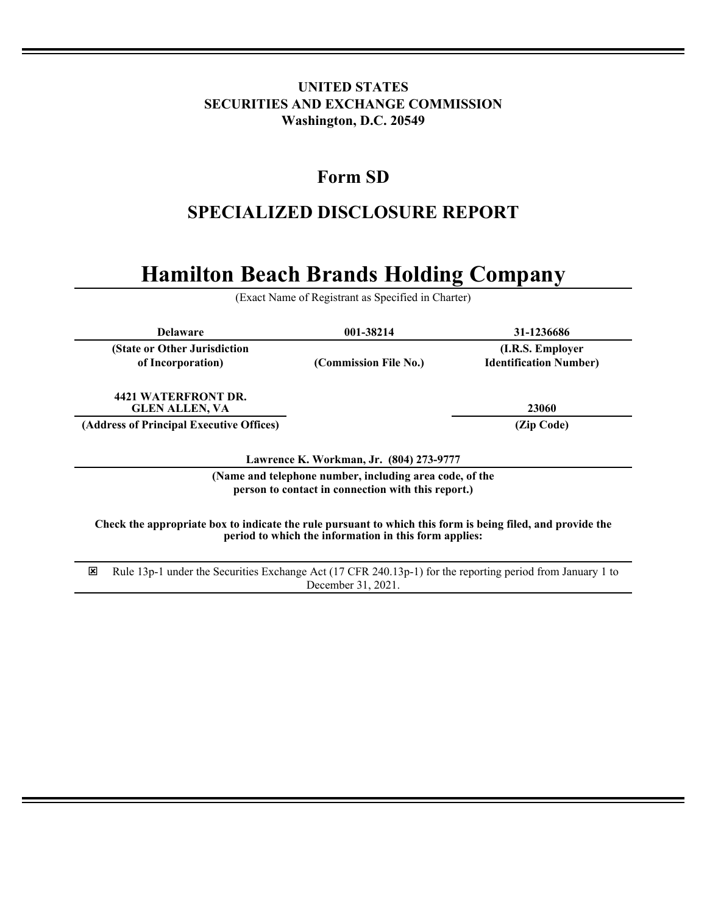## **UNITED STATES SECURITIES AND EXCHANGE COMMISSION Washington, D.C. 20549**

## **Form SD**

# **SPECIALIZED DISCLOSURE REPORT**

# **Hamilton Beach Brands Holding Company**

(Exact Name of Registrant as Specified in Charter)

| <b>Delaware</b>                                                                                                                                                     | 001-38214             | 31-1236686                                        |
|---------------------------------------------------------------------------------------------------------------------------------------------------------------------|-----------------------|---------------------------------------------------|
| (State or Other Jurisdiction<br>of Incorporation)                                                                                                                   | (Commission File No.) | (I.R.S. Employer<br><b>Identification Number)</b> |
| 4421 WATERFRONT DR.<br><b>GLEN ALLEN, VA</b>                                                                                                                        |                       | 23060                                             |
| (Address of Principal Executive Offices)                                                                                                                            |                       | (Zip Code)                                        |
| Lawrence K. Workman, Jr. (804) 273-9777<br>(Name and telephone number, including area code, of the                                                                  |                       |                                                   |
| person to contact in connection with this report.)                                                                                                                  |                       |                                                   |
| Check the appropriate box to indicate the rule pursuant to which this form is being filed, and provide the<br>period to which the information in this form applies: |                       |                                                   |
| ⊠<br>Rule 13p-1 under the Securities Exchange Act (17 CFR 240.13p-1) for the reporting period from January 1 to                                                     |                       |                                                   |

December 31, 2021.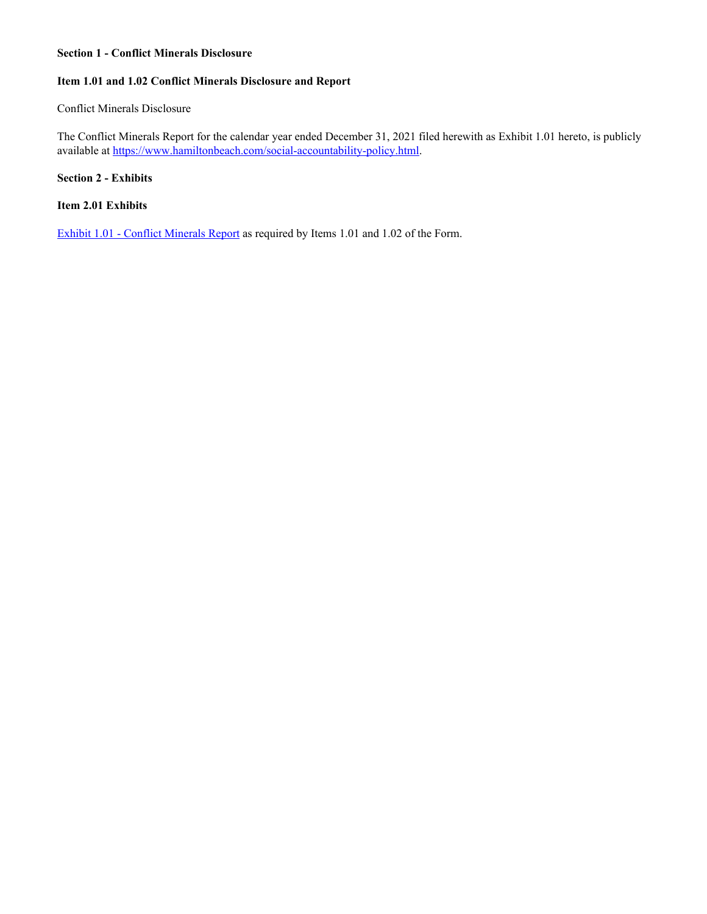#### **Section 1 - Conflict Minerals Disclosure**

### **Item 1.01 and 1.02 Conflict Minerals Disclosure and Report**

#### Conflict Minerals Disclosure

The Conflict Minerals Report for the calendar year ended December 31, 2021 filed herewith as Exhibit 1.01 hereto, is publicly available at https://www.hamiltonbeach.com/social-accountability-policy.html.

#### **Section 2 - Exhibits**

#### **Item 2.01 Exhibits**

[Exhibit 1.01 - Conflict Minerals Report](#page-3-0) as required by Items 1.01 and 1.02 of the Form.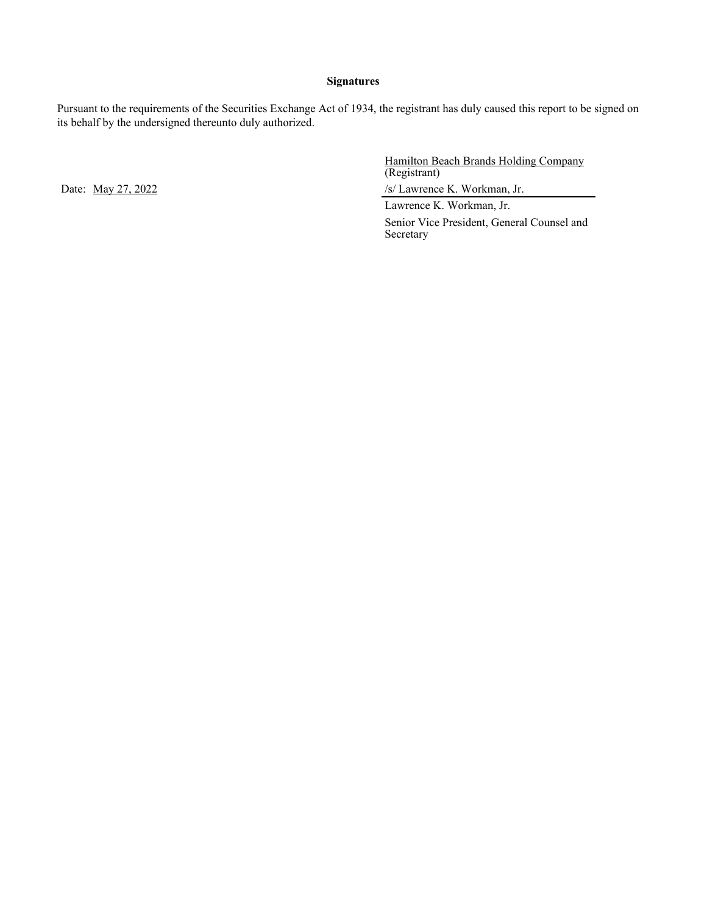#### **Signatures**

Pursuant to the requirements of the Securities Exchange Act of 1934, the registrant has duly caused this report to be signed on its behalf by the undersigned thereunto duly authorized.

Hamilton Beach Brands Holding Company (Registrant)

Date: May 27, 2022 /s/ Lawrence K. Workman, Jr.

Lawrence K. Workman, Jr. Senior Vice President, General Counsel and Secretary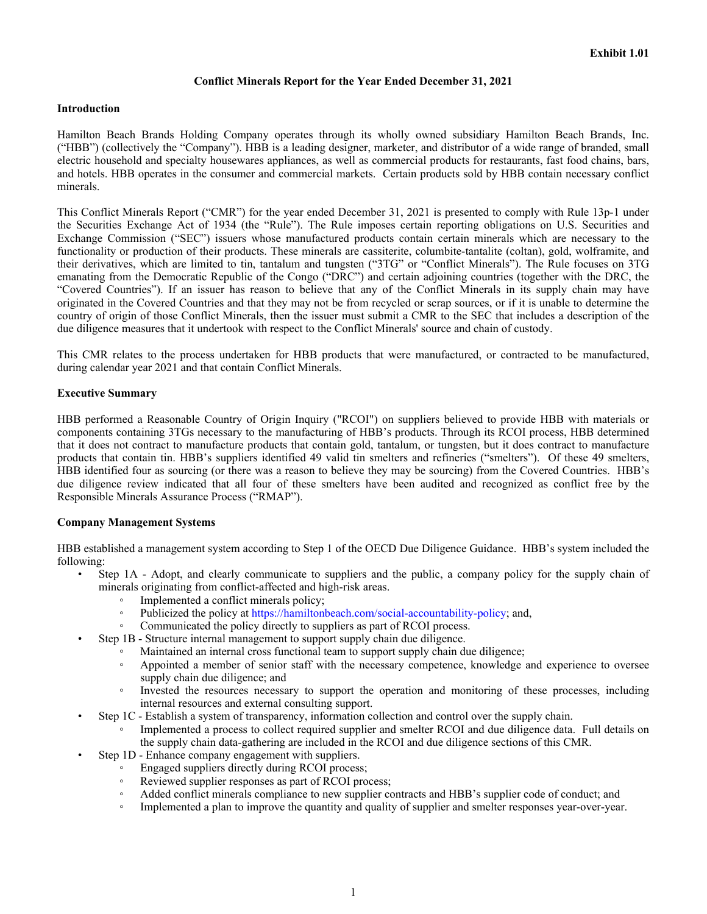#### **Conflict Minerals Report for the Year Ended December 31, 2021**

#### <span id="page-3-0"></span>**Introduction**

Hamilton Beach Brands Holding Company operates through its wholly owned subsidiary Hamilton Beach Brands, Inc. ("HBB") (collectively the "Company"). HBB is a leading designer, marketer, and distributor of a wide range of branded, small electric household and specialty housewares appliances, as well as commercial products for restaurants, fast food chains, bars, and hotels. HBB operates in the consumer and commercial markets. Certain products sold by HBB contain necessary conflict minerals.

This Conflict Minerals Report ("CMR") for the year ended December 31, 2021 is presented to comply with Rule 13p-1 under the Securities Exchange Act of 1934 (the "Rule"). The Rule imposes certain reporting obligations on U.S. Securities and Exchange Commission ("SEC") issuers whose manufactured products contain certain minerals which are necessary to the functionality or production of their products. These minerals are cassiterite, columbite-tantalite (coltan), gold, wolframite, and their derivatives, which are limited to tin, tantalum and tungsten ("3TG" or "Conflict Minerals"). The Rule focuses on 3TG emanating from the Democratic Republic of the Congo ("DRC") and certain adjoining countries (together with the DRC, the "Covered Countries"). If an issuer has reason to believe that any of the Conflict Minerals in its supply chain may have originated in the Covered Countries and that they may not be from recycled or scrap sources, or if it is unable to determine the country of origin of those Conflict Minerals, then the issuer must submit a CMR to the SEC that includes a description of the due diligence measures that it undertook with respect to the Conflict Minerals' source and chain of custody.

This CMR relates to the process undertaken for HBB products that were manufactured, or contracted to be manufactured, during calendar year 2021 and that contain Conflict Minerals.

#### **Executive Summary**

HBB performed a Reasonable Country of Origin Inquiry ("RCOI") on suppliers believed to provide HBB with materials or components containing 3TGs necessary to the manufacturing of HBB's products. Through its RCOI process, HBB determined that it does not contract to manufacture products that contain gold, tantalum, or tungsten, but it does contract to manufacture products that contain tin. HBB's suppliers identified 49 valid tin smelters and refineries ("smelters"). Of these 49 smelters, HBB identified four as sourcing (or there was a reason to believe they may be sourcing) from the Covered Countries. HBB's due diligence review indicated that all four of these smelters have been audited and recognized as conflict free by the Responsible Minerals Assurance Process ("RMAP").

#### **Company Management Systems**

HBB established a management system according to Step 1 of the OECD Due Diligence Guidance. HBB's system included the following:

- Step 1A Adopt, and clearly communicate to suppliers and the public, a company policy for the supply chain of minerals originating from conflict-affected and high-risk areas.
	- Implemented a conflict minerals policy;
	- Publicized the policy at https://hamiltonbeach.com/social-accountability-policy; and,
	- Communicated the policy directly to suppliers as part of RCOI process.
	- Step 1B Structure internal management to support supply chain due diligence.
		- Maintained an internal cross functional team to support supply chain due diligence;
		- Appointed a member of senior staff with the necessary competence, knowledge and experience to oversee supply chain due diligence; and
		- Invested the resources necessary to support the operation and monitoring of these processes, including internal resources and external consulting support.
	- Step 1C Establish a system of transparency, information collection and control over the supply chain.
		- Implemented a process to collect required supplier and smelter RCOI and due diligence data. Full details on the supply chain data-gathering are included in the RCOI and due diligence sections of this CMR.
		- Step 1D Enhance company engagement with suppliers.
			- Engaged suppliers directly during RCOI process;
			- Reviewed supplier responses as part of RCOI process;
			- Added conflict minerals compliance to new supplier contracts and HBB's supplier code of conduct; and
			- Implemented a plan to improve the quantity and quality of supplier and smelter responses year-over-year.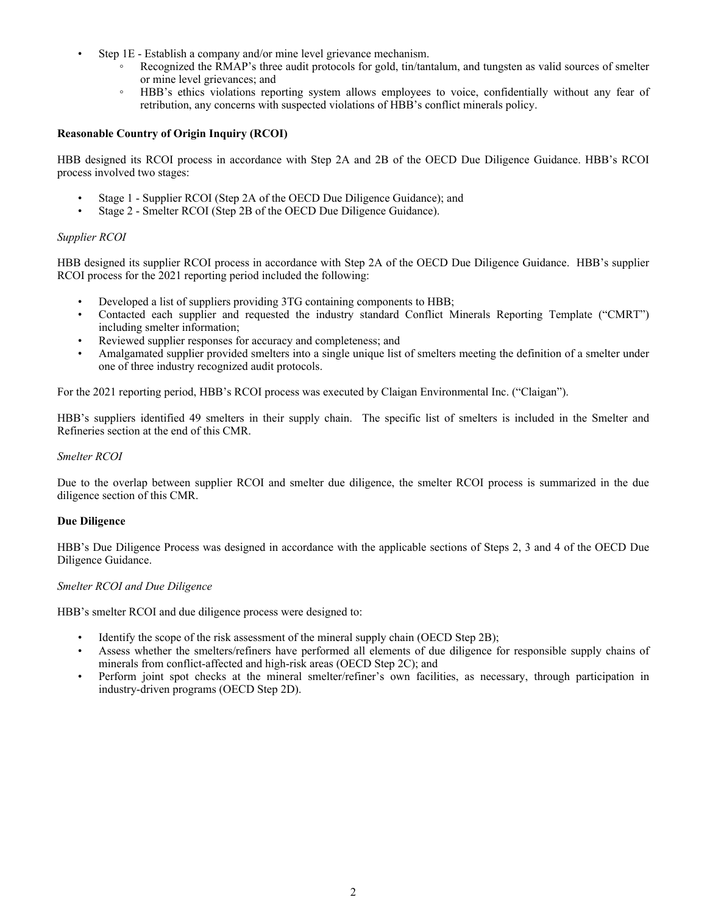- Step 1E Establish a company and/or mine level grievance mechanism.
	- Recognized the RMAP's three audit protocols for gold, tin/tantalum, and tungsten as valid sources of smelter or mine level grievances; and
	- HBB's ethics violations reporting system allows employees to voice, confidentially without any fear of retribution, any concerns with suspected violations of HBB's conflict minerals policy.

#### **Reasonable Country of Origin Inquiry (RCOI)**

HBB designed its RCOI process in accordance with Step 2A and 2B of the OECD Due Diligence Guidance. HBB's RCOI process involved two stages:

- Stage 1 Supplier RCOI (Step 2A of the OECD Due Diligence Guidance); and
- Stage 2 Smelter RCOI (Step 2B of the OECD Due Diligence Guidance).

#### *Supplier RCOI*

HBB designed its supplier RCOI process in accordance with Step 2A of the OECD Due Diligence Guidance. HBB's supplier RCOI process for the 2021 reporting period included the following:

- Developed a list of suppliers providing 3TG containing components to HBB;
- Contacted each supplier and requested the industry standard Conflict Minerals Reporting Template ("CMRT") including smelter information;
- Reviewed supplier responses for accuracy and completeness; and
- Amalgamated supplier provided smelters into a single unique list of smelters meeting the definition of a smelter under one of three industry recognized audit protocols.

For the 2021 reporting period, HBB's RCOI process was executed by Claigan Environmental Inc. ("Claigan").

HBB's suppliers identified 49 smelters in their supply chain. The specific list of smelters is included in the Smelter and Refineries section at the end of this CMR.

#### *Smelter RCOI*

Due to the overlap between supplier RCOI and smelter due diligence, the smelter RCOI process is summarized in the due diligence section of this CMR.

#### **Due Diligence**

HBB's Due Diligence Process was designed in accordance with the applicable sections of Steps 2, 3 and 4 of the OECD Due Diligence Guidance.

#### *Smelter RCOI and Due Diligence*

HBB's smelter RCOI and due diligence process were designed to:

- Identify the scope of the risk assessment of the mineral supply chain (OECD Step 2B);
- Assess whether the smelters/refiners have performed all elements of due diligence for responsible supply chains of minerals from conflict-affected and high-risk areas (OECD Step 2C); and
- Perform joint spot checks at the mineral smelter/refiner's own facilities, as necessary, through participation in industry-driven programs (OECD Step 2D).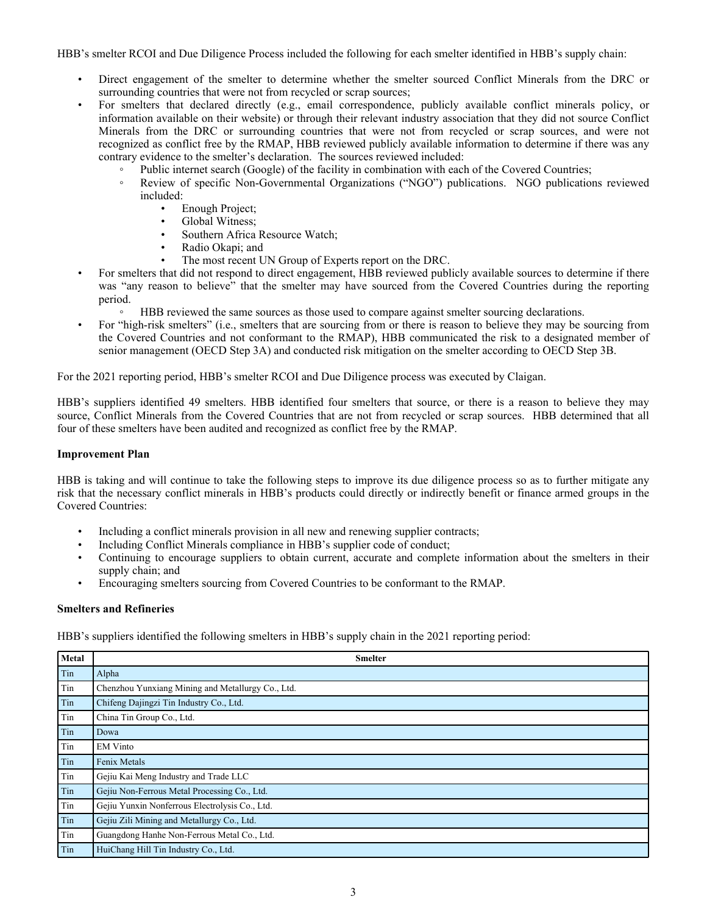HBB's smelter RCOI and Due Diligence Process included the following for each smelter identified in HBB's supply chain:

- Direct engagement of the smelter to determine whether the smelter sourced Conflict Minerals from the DRC or surrounding countries that were not from recycled or scrap sources;
- For smelters that declared directly (e.g., email correspondence, publicly available conflict minerals policy, or information available on their website) or through their relevant industry association that they did not source Conflict Minerals from the DRC or surrounding countries that were not from recycled or scrap sources, and were not recognized as conflict free by the RMAP, HBB reviewed publicly available information to determine if there was any contrary evidence to the smelter's declaration. The sources reviewed included:
	- Public internet search (Google) of the facility in combination with each of the Covered Countries;
	- Review of specific Non-Governmental Organizations ("NGO") publications. NGO publications reviewed included:
		- Enough Project;
		- Global Witness;
		- Southern Africa Resource Watch;
		- Radio Okapi; and
		- The most recent UN Group of Experts report on the DRC.
- For smelters that did not respond to direct engagement, HBB reviewed publicly available sources to determine if there was "any reason to believe" that the smelter may have sourced from the Covered Countries during the reporting period.
	- HBB reviewed the same sources as those used to compare against smelter sourcing declarations.
- For "high-risk smelters" (i.e., smelters that are sourcing from or there is reason to believe they may be sourcing from the Covered Countries and not conformant to the RMAP), HBB communicated the risk to a designated member of senior management (OECD Step 3A) and conducted risk mitigation on the smelter according to OECD Step 3B.

For the 2021 reporting period, HBB's smelter RCOI and Due Diligence process was executed by Claigan.

HBB's suppliers identified 49 smelters. HBB identified four smelters that source, or there is a reason to believe they may source, Conflict Minerals from the Covered Countries that are not from recycled or scrap sources. HBB determined that all four of these smelters have been audited and recognized as conflict free by the RMAP.

#### **Improvement Plan**

HBB is taking and will continue to take the following steps to improve its due diligence process so as to further mitigate any risk that the necessary conflict minerals in HBB's products could directly or indirectly benefit or finance armed groups in the Covered Countries:

- Including a conflict minerals provision in all new and renewing supplier contracts;
- Including Conflict Minerals compliance in HBB's supplier code of conduct;
- Continuing to encourage suppliers to obtain current, accurate and complete information about the smelters in their supply chain; and
- Encouraging smelters sourcing from Covered Countries to be conformant to the RMAP.

#### **Smelters and Refineries**

HBB's suppliers identified the following smelters in HBB's supply chain in the 2021 reporting period:

| Metal | <b>Smelter</b>                                    |
|-------|---------------------------------------------------|
| Tin   | Alpha                                             |
| Tin   | Chenzhou Yunxiang Mining and Metallurgy Co., Ltd. |
| Tin   | Chifeng Dajingzi Tin Industry Co., Ltd.           |
| Tin   | China Tin Group Co., Ltd.                         |
| Tin   | Dowa                                              |
| Tin   | <b>EM Vinto</b>                                   |
| Tin   | Fenix Metals                                      |
| Tin   | Gejiu Kai Meng Industry and Trade LLC             |
| Tin   | Gejiu Non-Ferrous Metal Processing Co., Ltd.      |
| Tin   | Gejiu Yunxin Nonferrous Electrolysis Co., Ltd.    |
| Tin   | Gejiu Zili Mining and Metallurgy Co., Ltd.        |
| Tin   | Guangdong Hanhe Non-Ferrous Metal Co., Ltd.       |
| Tin   | HuiChang Hill Tin Industry Co., Ltd.              |